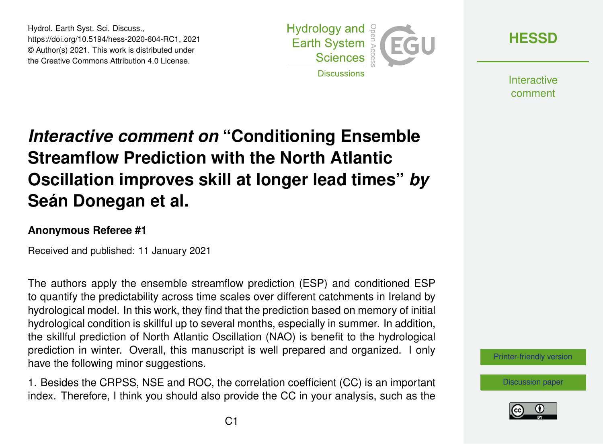Hydrol. Earth Syst. Sci. Discuss., https://doi.org/10.5194/hess-2020-604-RC1, 2021 © Author(s) 2021. This work is distributed under the Creative Commons Attribution 4.0 License.



**[HESSD](https://hess.copernicus.org/preprints/)**

**Interactive** comment

## *Interactive comment on* **"Conditioning Ensemble Streamflow Prediction with the North Atlantic Oscillation improves skill at longer lead times"** *by* **Seán Donegan et al.**

## **Anonymous Referee #1**

Received and published: 11 January 2021

The authors apply the ensemble streamflow prediction (ESP) and conditioned ESP to quantify the predictability across time scales over different catchments in Ireland by hydrological model. In this work, they find that the prediction based on memory of initial hydrological condition is skillful up to several months, especially in summer. In addition, the skillful prediction of North Atlantic Oscillation (NAO) is benefit to the hydrological prediction in winter. Overall, this manuscript is well prepared and organized. I only have the following minor suggestions.

1. Besides the CRPSS, NSE and ROC, the correlation coefficient (CC) is an important index. Therefore, I think you should also provide the CC in your analysis, such as the



[Discussion paper](https://hess.copernicus.org/preprints/hess-2020-604)